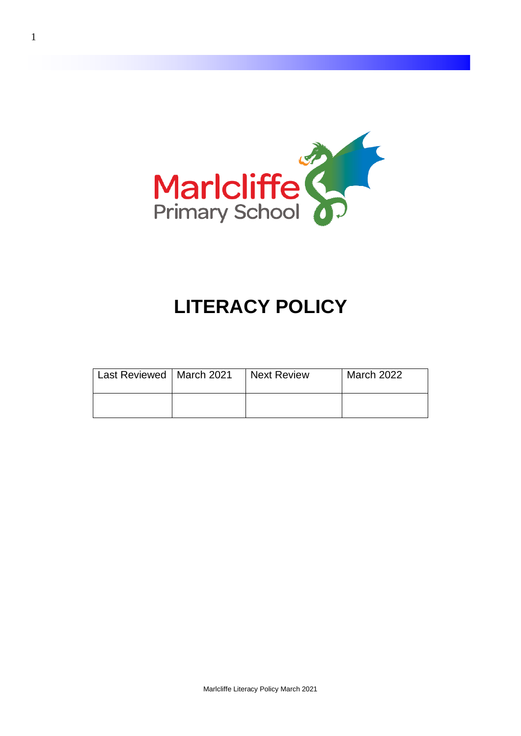

# **LITERACY POLICY**

| Last Reviewed   March 2021 | <b>Next Review</b> | <b>March 2022</b> |
|----------------------------|--------------------|-------------------|
|                            |                    |                   |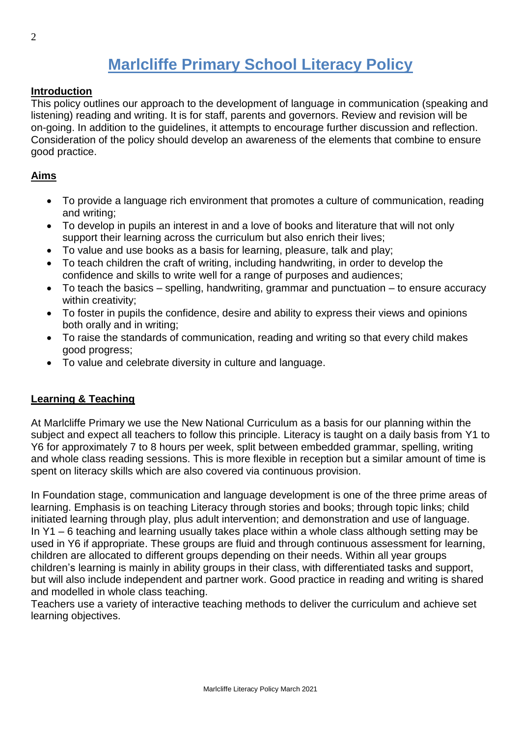# **Marlcliffe Primary School Literacy Policy**

#### **Introduction**

This policy outlines our approach to the development of language in communication (speaking and listening) reading and writing. It is for staff, parents and governors. Review and revision will be on-going. In addition to the guidelines, it attempts to encourage further discussion and reflection. Consideration of the policy should develop an awareness of the elements that combine to ensure good practice.

#### **Aims**

- To provide a language rich environment that promotes a culture of communication, reading and writing;
- To develop in pupils an interest in and a love of books and literature that will not only support their learning across the curriculum but also enrich their lives;
- To value and use books as a basis for learning, pleasure, talk and play;
- To teach children the craft of writing, including handwriting, in order to develop the confidence and skills to write well for a range of purposes and audiences;
- To teach the basics spelling, handwriting, grammar and punctuation to ensure accuracy within creativity:
- To foster in pupils the confidence, desire and ability to express their views and opinions both orally and in writing;
- To raise the standards of communication, reading and writing so that every child makes good progress;
- To value and celebrate diversity in culture and language.

#### **Learning & Teaching**

At Marlcliffe Primary we use the New National Curriculum as a basis for our planning within the subject and expect all teachers to follow this principle. Literacy is taught on a daily basis from Y1 to Y6 for approximately 7 to 8 hours per week, split between embedded grammar, spelling, writing and whole class reading sessions. This is more flexible in reception but a similar amount of time is spent on literacy skills which are also covered via continuous provision.

In Foundation stage, communication and language development is one of the three prime areas of learning. Emphasis is on teaching Literacy through stories and books; through topic links; child initiated learning through play, plus adult intervention; and demonstration and use of language. In Y1 – 6 teaching and learning usually takes place within a whole class although setting may be used in Y6 if appropriate. These groups are fluid and through continuous assessment for learning, children are allocated to different groups depending on their needs. Within all year groups children's learning is mainly in ability groups in their class, with differentiated tasks and support, but will also include independent and partner work. Good practice in reading and writing is shared and modelled in whole class teaching.

Teachers use a variety of interactive teaching methods to deliver the curriculum and achieve set learning objectives.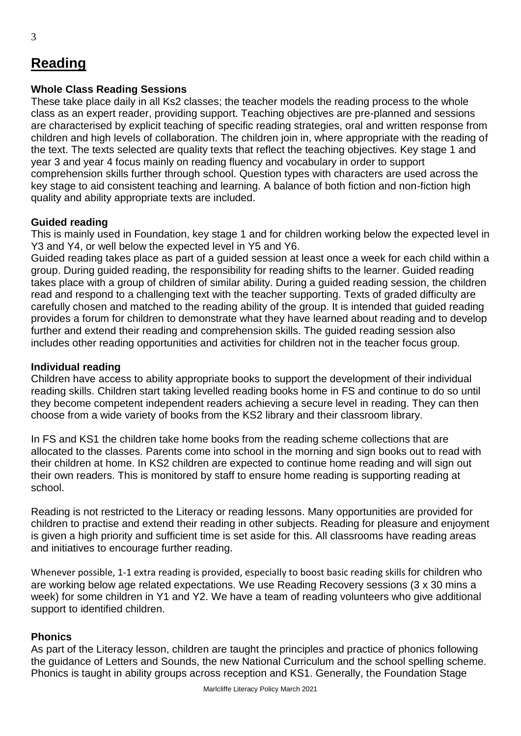### **Reading**

#### **Whole Class Reading Sessions**

These take place daily in all Ks2 classes; the teacher models the reading process to the whole class as an expert reader, providing support. Teaching objectives are pre-planned and sessions are characterised by explicit teaching of specific reading strategies, oral and written response from children and high levels of collaboration. The children join in, where appropriate with the reading of the text. The texts selected are quality texts that reflect the teaching objectives. Key stage 1 and year 3 and year 4 focus mainly on reading fluency and vocabulary in order to support comprehension skills further through school. Question types with characters are used across the key stage to aid consistent teaching and learning. A balance of both fiction and non-fiction high quality and ability appropriate texts are included.

#### **Guided reading**

This is mainly used in Foundation, key stage 1 and for children working below the expected level in Y3 and Y4, or well below the expected level in Y5 and Y6.

Guided reading takes place as part of a guided session at least once a week for each child within a group. During guided reading, the responsibility for reading shifts to the learner. Guided reading takes place with a group of children of similar ability. During a guided reading session, the children read and respond to a challenging text with the teacher supporting. Texts of graded difficulty are carefully chosen and matched to the reading ability of the group. It is intended that guided reading provides a forum for children to demonstrate what they have learned about reading and to develop further and extend their reading and comprehension skills. The guided reading session also includes other reading opportunities and activities for children not in the teacher focus group.

#### **Individual reading**

Children have access to ability appropriate books to support the development of their individual reading skills. Children start taking levelled reading books home in FS and continue to do so until they become competent independent readers achieving a secure level in reading. They can then choose from a wide variety of books from the KS2 library and their classroom library.

In FS and KS1 the children take home books from the reading scheme collections that are allocated to the classes. Parents come into school in the morning and sign books out to read with their children at home. In KS2 children are expected to continue home reading and will sign out their own readers. This is monitored by staff to ensure home reading is supporting reading at school.

Reading is not restricted to the Literacy or reading lessons. Many opportunities are provided for children to practise and extend their reading in other subjects. Reading for pleasure and enjoyment is given a high priority and sufficient time is set aside for this. All classrooms have reading areas and initiatives to encourage further reading.

Whenever possible, 1-1 extra reading is provided, especially to boost basic reading skills for children who are working below age related expectations. We use Reading Recovery sessions (3 x 30 mins a week) for some children in Y1 and Y2. We have a team of reading volunteers who give additional support to identified children.

#### **Phonics**

As part of the Literacy lesson, children are taught the principles and practice of phonics following the guidance of Letters and Sounds, the new National Curriculum and the school spelling scheme. Phonics is taught in ability groups across reception and KS1. Generally, the Foundation Stage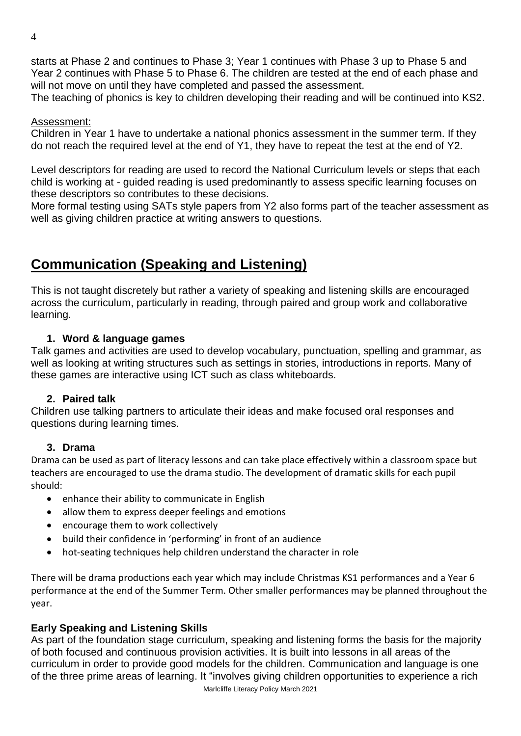starts at Phase 2 and continues to Phase 3; Year 1 continues with Phase 3 up to Phase 5 and Year 2 continues with Phase 5 to Phase 6. The children are tested at the end of each phase and will not move on until they have completed and passed the assessment.

The teaching of phonics is key to children developing their reading and will be continued into KS2.

#### Assessment:

Children in Year 1 have to undertake a national phonics assessment in the summer term. If they do not reach the required level at the end of Y1, they have to repeat the test at the end of Y2.

Level descriptors for reading are used to record the National Curriculum levels or steps that each child is working at - guided reading is used predominantly to assess specific learning focuses on these descriptors so contributes to these decisions.

More formal testing using SATs style papers from Y2 also forms part of the teacher assessment as well as giving children practice at writing answers to questions.

### **Communication (Speaking and Listening)**

This is not taught discretely but rather a variety of speaking and listening skills are encouraged across the curriculum, particularly in reading, through paired and group work and collaborative learning.

#### **1. Word & language games**

Talk games and activities are used to develop vocabulary, punctuation, spelling and grammar, as well as looking at writing structures such as settings in stories, introductions in reports. Many of these games are interactive using ICT such as class whiteboards.

#### **2. Paired talk**

Children use talking partners to articulate their ideas and make focused oral responses and questions during learning times.

#### **3. Drama**

Drama can be used as part of literacy lessons and can take place effectively within a classroom space but teachers are encouraged to use the drama studio. The development of dramatic skills for each pupil should:

- enhance their ability to communicate in English
- allow them to express deeper feelings and emotions
- encourage them to work collectively
- build their confidence in 'performing' in front of an audience
- hot-seating techniques help children understand the character in role

There will be drama productions each year which may include Christmas KS1 performances and a Year 6 performance at the end of the Summer Term. Other smaller performances may be planned throughout the year.

#### **Early Speaking and Listening Skills**

Marlcliffe Literacy Policy March 2021 As part of the foundation stage curriculum, speaking and listening forms the basis for the majority of both focused and continuous provision activities. It is built into lessons in all areas of the curriculum in order to provide good models for the children. Communication and language is one of the three prime areas of learning. It "involves giving children opportunities to experience a rich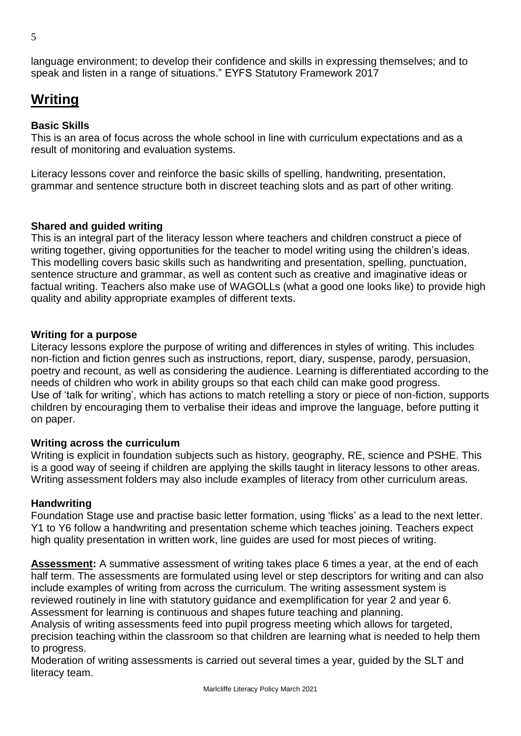5

language environment; to develop their confidence and skills in expressing themselves; and to speak and listen in a range of situations." EYFS Statutory Framework 2017

## **Writing**

#### **Basic Skills**

This is an area of focus across the whole school in line with curriculum expectations and as a result of monitoring and evaluation systems.

Literacy lessons cover and reinforce the basic skills of spelling, handwriting, presentation, grammar and sentence structure both in discreet teaching slots and as part of other writing.

#### **Shared and guided writing**

This is an integral part of the literacy lesson where teachers and children construct a piece of writing together, giving opportunities for the teacher to model writing using the children's ideas. This modelling covers basic skills such as handwriting and presentation, spelling, punctuation, sentence structure and grammar, as well as content such as creative and imaginative ideas or factual writing. Teachers also make use of WAGOLLs (what a good one looks like) to provide high quality and ability appropriate examples of different texts.

#### **Writing for a purpose**

Literacy lessons explore the purpose of writing and differences in styles of writing. This includes non-fiction and fiction genres such as instructions, report, diary, suspense, parody, persuasion, poetry and recount, as well as considering the audience. Learning is differentiated according to the needs of children who work in ability groups so that each child can make good progress. Use of 'talk for writing', which has actions to match retelling a story or piece of non-fiction, supports children by encouraging them to verbalise their ideas and improve the language, before putting it on paper.

#### **Writing across the curriculum**

Writing is explicit in foundation subjects such as history, geography, RE, science and PSHE. This is a good way of seeing if children are applying the skills taught in literacy lessons to other areas. Writing assessment folders may also include examples of literacy from other curriculum areas.

#### **Handwriting**

Foundation Stage use and practise basic letter formation, using 'flicks' as a lead to the next letter. Y1 to Y6 follow a handwriting and presentation scheme which teaches joining. Teachers expect high quality presentation in written work, line guides are used for most pieces of writing.

**Assessment:** A summative assessment of writing takes place 6 times a year, at the end of each half term. The assessments are formulated using level or step descriptors for writing and can also include examples of writing from across the curriculum. The writing assessment system is reviewed routinely in line with statutory guidance and exemplification for year 2 and year 6. Assessment for learning is continuous and shapes future teaching and planning.

Analysis of writing assessments feed into pupil progress meeting which allows for targeted, precision teaching within the classroom so that children are learning what is needed to help them to progress.

Moderation of writing assessments is carried out several times a year, guided by the SLT and literacy team.